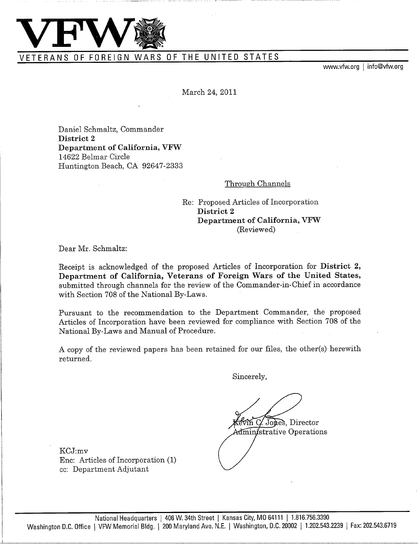

VETERANS OF FOREIGN WARS OF THE UNITED STATES

www.vfw.org | info@vfw.org

March 24, 2011

Daniel Schmaltz, Commander **District 2 Department of California, VFW** 14622 Belmar Circle Huntington Beach, CA 92647-2333

# Through Channels

Re: Proposed Articles of Incorporation **District 2 Department of California, VFW (Reviewed)**

Dear Mr. Schmaltz:

Receipt is acknowledged of the proposed Articles of Incorporation for **District 2, Department of California, Veterans of Foreign Wars of the United States,** submitted through channels for the review of the Commander-in-Chief in accordance with Section 708 of the National By-Laws.

Pursuant to the recommendation to the Department Commander, the proposed Articles of Incorporation have been reviewed for compliance with Section 708 of the National By-Laws and Manual of Procedure.

A copy of the reviewed papers has been retained for our files, the other(s) herewith returned.

Sincerely,

evin C. Jones, Director Administrative Operations

KCJ:mv Enc: Articles of Incorporation (1) cc: Department Adjutant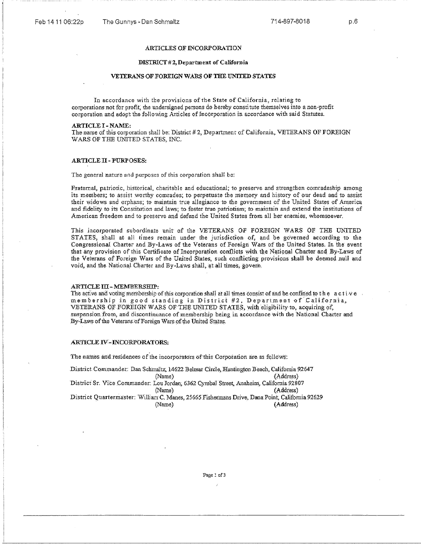# **ARTICLES OF INCORPORATION**

## **DISTRICT** #2, Department of California

### **VETERANS OF FOREIGN WARS OF THE UNITED STATES**

In accordance with the provisions of the State of California, relating to corporations not for profit, the undersigned persons do hereby constitute themselves into a non-profit corporation and adopt the following Articles of Incorporation in accordance with said Statutes.

#### ARTICLE I - NAME:

The name of this corporation shall be: District #2, Department of California, VETERANS OF FOREIGN WARS OF THE UNITED *STATES.* INC.

# ARTICLE II - **PURPOSES:**

The general nature and purposes of this corporation shall be:

Fraternal, patriotic, historical, charitable and educational; to preserve and strengthen comradeship among its members; to assist worthy comrades; to perpetuate the memory and history of our dead and to assist their widows and orphans; to maintain true allegiance to the government of the United States of America and fidelity to its Constitution and laws; to foster true patriotism; to maintain and extend the institutions of American freedom and to preserve and defend the United States from all her enemies, whomsoever.

This incorporated subordinate unit of the VETERANS OF FOREIGN WARS OF THE UNITED STATES; shall at all times remain under the jurisdiction of, and be governed **according** to the Congressional Charter and By-Laws of the Veterans of Foreign Wars of the United States. In the event that any provision of this Certificate of Incorporation conflicts with the National Charter and By-Laws of the Veterans of Foreign Wars of the United States, such conflicting provisions **shall** be deemed null and void, and the National Charter and By-Laws shall, at all times, govern.

#### ARTICLE III - MEMBERSHIP:

The active and voting membership of this corporation shall at all times consist of and be confined to the active membership in good standing in District #2, Department of California, VETERANS OF FOREIGN WARS OF THE UNITED STATES; with eligibility to, acquiring of suspension from, and discontinuance of membership being in accordance with the National Charter and By-Laws of the Veterans of Foreign Wars of the United States.

## **ARTICLE IV-INCORPORATORS:**

The names and residences of the incorporators of this Corporation are as follows:

District Commander.: Dan Schmaltz, 14622 Belmar Circle, Huntington Beach, California 92647 (Name) (Address) District Sr. Vice Commander: Lou Jordan; 6362 Cymbal Street, Anaheim, California 92807 (Name) (Address) District Quartermaster: William C. Manes; 25665 Fishermans Drive, Dana Point, California 92629 (Name) (Address)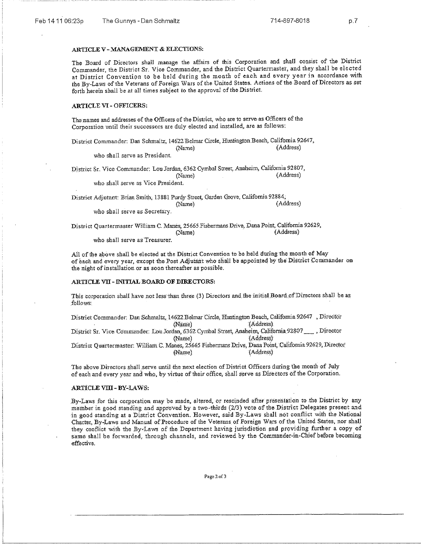## *ARTICLE* V - **MANAGEMENT** & ELECTIONS:

The Board of Directors shall manage the affairs of this Corporation and shall consist of the District Commander, the District Sr. Vice Commander, and the District Quartermaster, and they shall be elected at District Convention to be held during the month of each and every year in accordance with the By-Laws of the Veterans of Foreign Wars of the United States. Actions of the Board of Directors as set forth herein shall be at all times subject to the approval of the District.

## **ARTICLE VI - OFFICERS:**

The names and addresses of the Officers of the District, who are to serve as Officers of the Corporation until their successors are duly elected and installed, are as follows:

District Commander; Dan Schmaltz, 14622 Belmar Circle, Huntington Beach, California 92647, (Name) (Address)

who shall serve as President.

District Sr. Vice Commander: Lou Jordan, 6362 Cymbal Street, Anaheim; California 92807, (Name) (Address)

who shall serve as Vice President.

District Adjutant: Brian Smith; 13881 Purdy Street, Garden *Grove,* California 92884; (Name) (Address)

who shall serve as Secretary.

District Quartermaster William C. Manes, 25665 Fishermans Drive, Dana Point, California 92629, (Name) (Address)

who shall serve as Treasurer.

All of the above shall be elected at the District Convention to be held during the month of May of each and every year, except the Post Adjutant who shall be appointed by the District Commander on the night of installation. or as soon thereafter as possible.

### ARTICLE VII - INITIAL BOARD OF DIRECTORS:

This corporation shall have not less than three (3) Directors and the initial Board of Directors shall be as follows:.

District Commander: Dan Schmaltz, 14622 Belmar Circle, Huntington Beach, California 92647 , Director (Name) (Address) District Sr. Vice Commander: Lou Jordan, 6362 Cymbal Street, Anaheim, California 92807\_\_\_\_, Director (Name) (Address) District Quartermaster: William. C. Manes, 25665 Fishermans Drive, Dana Point, California 92629, Director (Name) (Address)

The above Directors shall serve until the next election of District Officers during the month of July of each and every year and who, by virtue of their office, shall **serve** as Directors ofthe Corporation.

# **ARTICLE VIII - BY-LAWS:**

By-Laws for this corporation may be made, altered, or rescinded after presentation to the District by any member in good standing aad approved by a two-thirds (213) vote of the District Delegates present and in good standing at a District Convention. However, said By-Laws shall not conflict with the National Charter, By-Laws and Manual of Procedure of the Veterans, of Foreign Wars of the United States, nor shall they conflict with the By-Laws of the Department having jurisdiction and providing further a copy of same shall be forwarded, through channels, and reviewed, by the Commander-in-Chief before becoming effective.

Pagc2of3